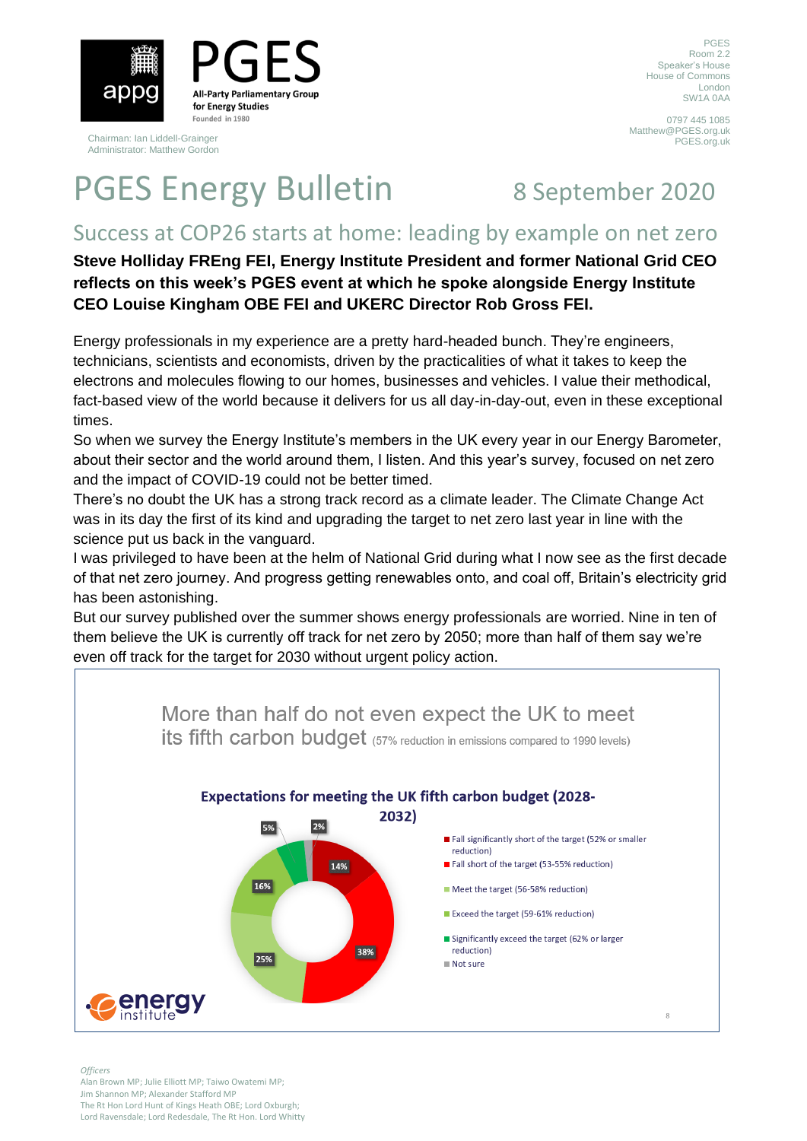

**All-Party Parliamentary Group** for Energy Studies Founded in 1980

Chairman: Ian Liddell-Grainger Administrator: Matthew Gordon

PGES Room 2.2 Speaker's House House of Commons London SW1A 0AA

0797 445 1085 Matthew@PGES.org.uk PGES.org.uk

## PGES Energy Bulletin 8 September 2020

### Success at COP26 starts at home: leading by example on net zero

**Steve Holliday FREng FEI, Energy Institute President and former National Grid CEO reflects on this week's PGES event at which he spoke alongside Energy Institute CEO Louise Kingham OBE FEI and UKERC Director Rob Gross FEI.**

Energy professionals in my experience are a pretty hard-headed bunch. They're engineers, technicians, scientists and economists, driven by the practicalities of what it takes to keep the electrons and molecules flowing to our homes, businesses and vehicles. I value their methodical, fact-based view of the world because it delivers for us all day-in-day-out, even in these exceptional times.

So when we survey the Energy Institute's members in the UK every year in our Energy Barometer, about their sector and the world around them, I listen. And this year's survey, focused on net zero and the impact of COVID-19 could not be better timed.

There's no doubt the UK has a strong track record as a climate leader. The Climate Change Act was in its day the first of its kind and upgrading the target to net zero last year in line with the science put us back in the vanguard.

I was privileged to have been at the helm of National Grid during what I now see as the first decade of that net zero journey. And progress getting renewables onto, and coal off, Britain's electricity grid has been astonishing.

But our survey published over the summer shows energy professionals are worried. Nine in ten of them believe the UK is currently off track for net zero by 2050; more than half of them say we're even off track for the target for 2030 without urgent policy action.



*Officers*

Alan Brown MP; Julie Elliott MP; Taiwo Owatemi MP; Jim Shannon MP; Alexander Stafford MP The Rt Hon Lord Hunt of Kings Heath OBE; Lord Oxburgh; Lord Ravensdale; Lord Redesdale, The Rt Hon. Lord Whitty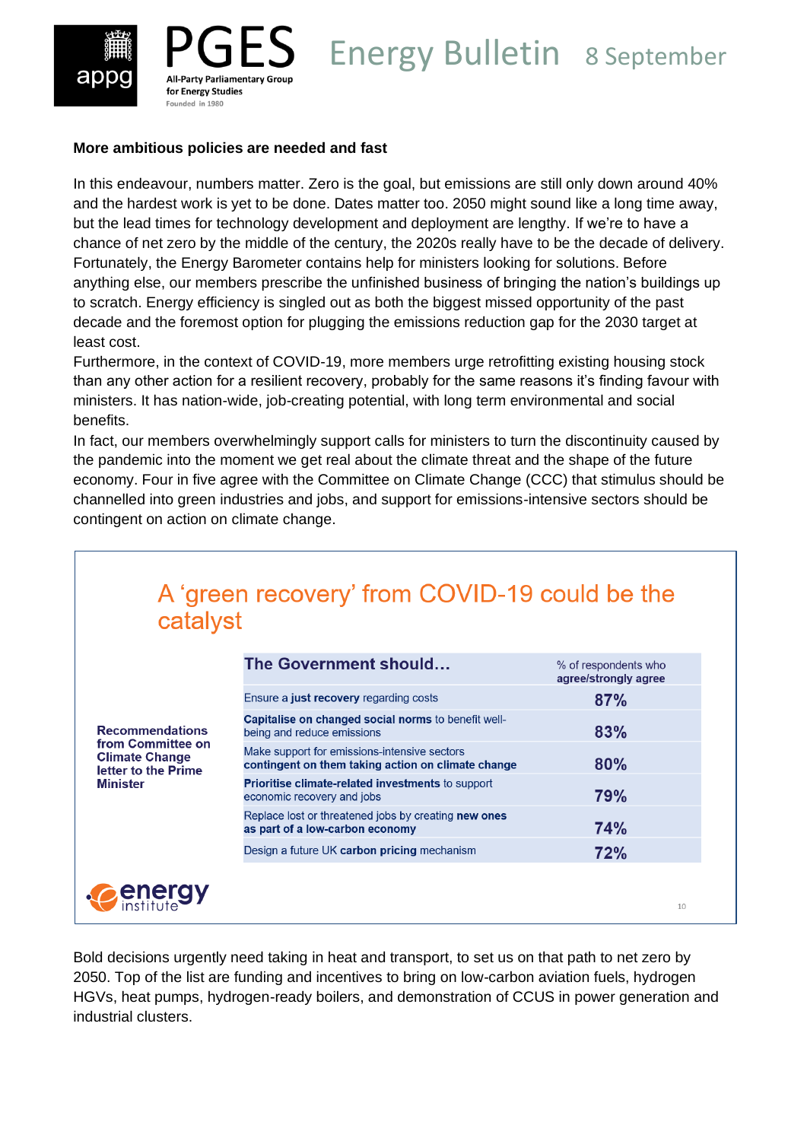



# **PGES** Energy Bulletin 8 September

### **More ambitious policies are needed and fast**

In this endeavour, numbers matter. Zero is the goal, but emissions are still only down around 40% and the hardest work is yet to be done. Dates matter too. 2050 might sound like a long time away, but the lead times for technology development and deployment are lengthy. If we're to have a chance of net zero by the middle of the century, the 2020s really have to be the decade of delivery. Fortunately, the Energy Barometer contains help for ministers looking for solutions. Before anything else, our members prescribe the unfinished business of bringing the nation's buildings up to scratch. Energy efficiency is singled out as both the biggest missed opportunity of the past decade and the foremost option for plugging the emissions reduction gap for the 2030 target at least cost.

Furthermore, in the context of COVID-19, more members urge retrofitting existing housing stock than any other action for a resilient recovery, probably for the same reasons it's finding favour with ministers. It has nation-wide, job-creating potential, with long term environmental and social benefits.

In fact, our members overwhelmingly support calls for ministers to turn the discontinuity caused by the pandemic into the moment we get real about the climate threat and the shape of the future economy. Four in five agree with the Committee on Climate Change (CCC) that stimulus should be channelled into green industries and jobs, and support for emissions-intensive sectors should be contingent on action on climate change.

| catalyst                                                                                                       | A 'green recovery' from COVID-19 could be the                                                      |                                              |
|----------------------------------------------------------------------------------------------------------------|----------------------------------------------------------------------------------------------------|----------------------------------------------|
| <b>Recommendations</b><br>from Committee on<br><b>Climate Change</b><br>letter to the Prime<br><b>Minister</b> | The Government should                                                                              | % of respondents who<br>agree/strongly agree |
|                                                                                                                | Ensure a <b>just recovery</b> regarding costs                                                      | 87%                                          |
|                                                                                                                | Capitalise on changed social norms to benefit well-<br>being and reduce emissions                  | 83%                                          |
|                                                                                                                | Make support for emissions-intensive sectors<br>contingent on them taking action on climate change | 80%                                          |
|                                                                                                                | <b>Prioritise climate-related investments to support</b><br>economic recovery and jobs             | 79%                                          |
|                                                                                                                | Replace lost or threatened jobs by creating new ones<br>as part of a low-carbon economy            | 74%                                          |
|                                                                                                                | Design a future UK carbon pricing mechanism                                                        | 72%                                          |
| <b>energy</b>                                                                                                  |                                                                                                    |                                              |

Bold decisions urgently need taking in heat and transport, to set us on that path to net zero by 2050. Top of the list are funding and incentives to bring on low-carbon aviation fuels, hydrogen HGVs, heat pumps, hydrogen-ready boilers, and demonstration of CCUS in power generation and industrial clusters.